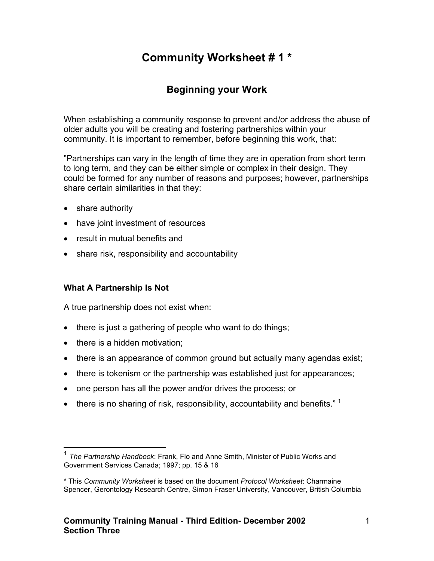# **Community Worksheet # 1 \***

# **Beginning your Work**

When establishing a community response to prevent and/or address the abuse of older adults you will be creating and fostering partnerships within your community. It is important to remember, before beginning this work, that:

"Partnerships can vary in the length of time they are in operation from short term to long term, and they can be either simple or complex in their design. They could be formed for any number of reasons and purposes; however, partnerships share certain similarities in that they:

- share authority
- have joint investment of resources
- result in mutual benefits and
- share risk, responsibility and accountability

### **What A Partnership Is Not**

A true partnership does not exist when:

- there is just a gathering of people who want to do things;
- there is a hidden motivation;
- there is an appearance of common ground but actually many agendas exist;
- there is tokenism or the partnership was established just for appearances;
- one person has all the power and/or drives the process; or
- there is no sharing of risk, responsibility, accountability and benefits."  $1$

<span id="page-0-0"></span> <sup>1</sup> *The Partnership Handbook*: Frank, Flo and Anne Smith, Minister of Public Works and Government Services Canada; 1997; pp. 15 & 16

<sup>\*</sup> This *Community Worksheet* is based on the document *Protocol Worksheet*: Charmaine Spencer, Gerontology Research Centre, Simon Fraser University, Vancouver, British Columbia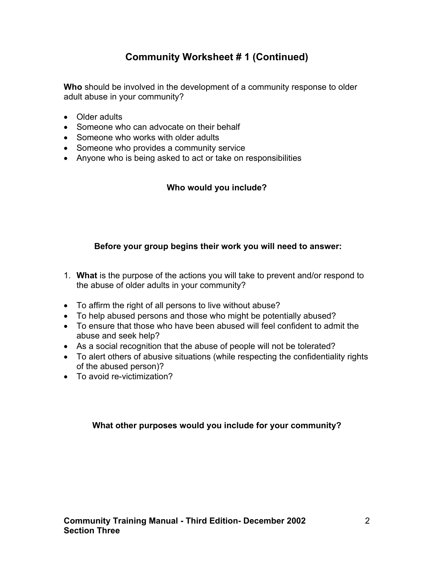# **Community Worksheet # 1 (Continued)**

**Who** should be involved in the development of a community response to older adult abuse in your community?

- Older adults
- Someone who can advocate on their behalf
- Someone who works with older adults
- Someone who provides a community service
- Anyone who is being asked to act or take on responsibilities

### **Who would you include?**

### **Before your group begins their work you will need to answer:**

- 1. **What** is the purpose of the actions you will take to prevent and/or respond to the abuse of older adults in your community?
- To affirm the right of all persons to live without abuse?
- To help abused persons and those who might be potentially abused?
- To ensure that those who have been abused will feel confident to admit the abuse and seek help?
- As a social recognition that the abuse of people will not be tolerated?
- To alert others of abusive situations (while respecting the confidentiality rights of the abused person)?
- To avoid re-victimization?

### **What other purposes would you include for your community?**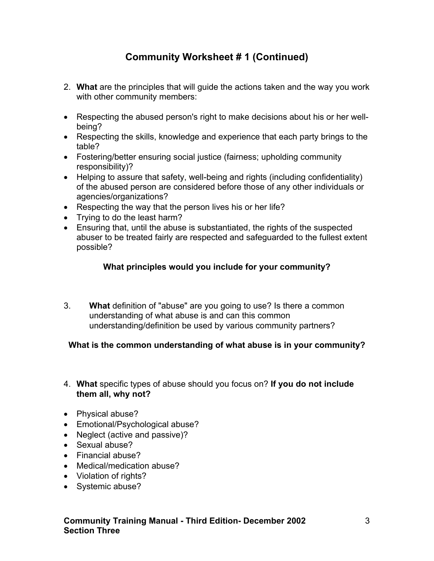# **Community Worksheet # 1 (Continued)**

- 2. **What** are the principles that will guide the actions taken and the way you work with other community members:
- Respecting the abused person's right to make decisions about his or her wellbeing?
- Respecting the skills, knowledge and experience that each party brings to the table?
- Fostering/better ensuring social justice (fairness; upholding community responsibility)?
- Helping to assure that safety, well-being and rights (including confidentiality) of the abused person are considered before those of any other individuals or agencies/organizations?
- Respecting the way that the person lives his or her life?
- Trying to do the least harm?
- Ensuring that, until the abuse is substantiated, the rights of the suspected abuser to be treated fairly are respected and safeguarded to the fullest extent possible?

### **What principles would you include for your community?**

3. **What** definition of "abuse" are you going to use? Is there a common understanding of what abuse is and can this common understanding/definition be used by various community partners?

### **What is the common understanding of what abuse is in your community?**

- 4. **What** specific types of abuse should you focus on? **If you do not include them all, why not?**
- Physical abuse?
- Emotional/Psychological abuse?
- Neglect (active and passive)?
- Sexual abuse?
- Financial abuse?
- Medical/medication abuse?
- Violation of rights?
- Systemic abuse?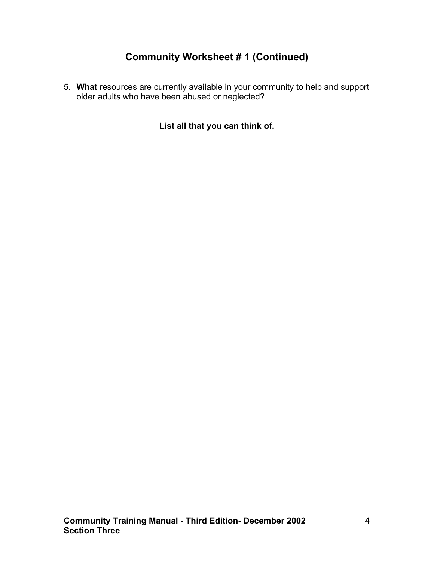# **Community Worksheet # 1 (Continued)**

5. **What** resources are currently available in your community to help and support older adults who have been abused or neglected?

**List all that you can think of.**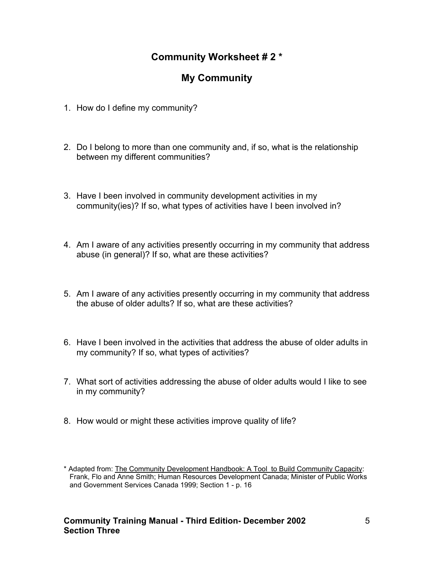### **Community Worksheet # 2 \***

# **My Community**

- 1. How do I define my community?
- 2. Do I belong to more than one community and, if so, what is the relationship between my different communities?
- 3. Have I been involved in community development activities in my community(ies)? If so, what types of activities have I been involved in?
- 4. Am I aware of any activities presently occurring in my community that address abuse (in general)? If so, what are these activities?
- 5. Am I aware of any activities presently occurring in my community that address the abuse of older adults? If so, what are these activities?
- 6. Have I been involved in the activities that address the abuse of older adults in my community? If so, what types of activities?
- 7. What sort of activities addressing the abuse of older adults would I like to see in my community?
- 8. How would or might these activities improve quality of life?

<sup>\*</sup> Adapted from: The Community Development Handbook: A Tool to Build Community Capacity: Frank, Flo and Anne Smith; Human Resources Development Canada; Minister of Public Works and Government Services Canada 1999; Section 1 - p. 16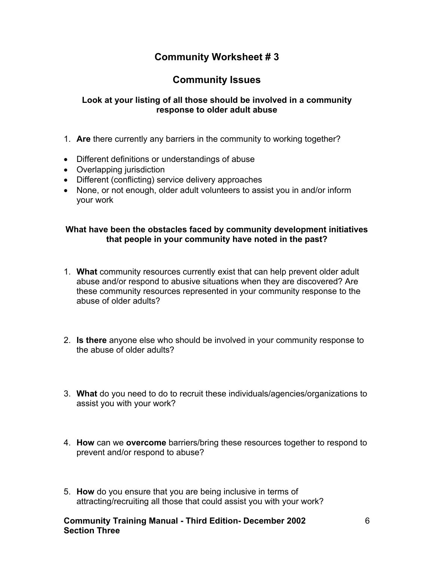### **Community Worksheet # 3**

### **Community Issues**

#### **Look at your listing of all those should be involved in a community response to older adult abuse**

- 1. **Are** there currently any barriers in the community to working together?
- Different definitions or understandings of abuse
- Overlapping jurisdiction
- Different (conflicting) service delivery approaches
- None, or not enough, older adult volunteers to assist you in and/or inform your work

#### **What have been the obstacles faced by community development initiatives that people in your community have noted in the past?**

- 1. **What** community resources currently exist that can help prevent older adult abuse and/or respond to abusive situations when they are discovered? Are these community resources represented in your community response to the abuse of older adults?
- 2. **Is there** anyone else who should be involved in your community response to the abuse of older adults?
- 3. **What** do you need to do to recruit these individuals/agencies/organizations to assist you with your work?
- 4. **How** can we **overcome** barriers/bring these resources together to respond to prevent and/or respond to abuse?
- 5. **How** do you ensure that you are being inclusive in terms of attracting/recruiting all those that could assist you with your work?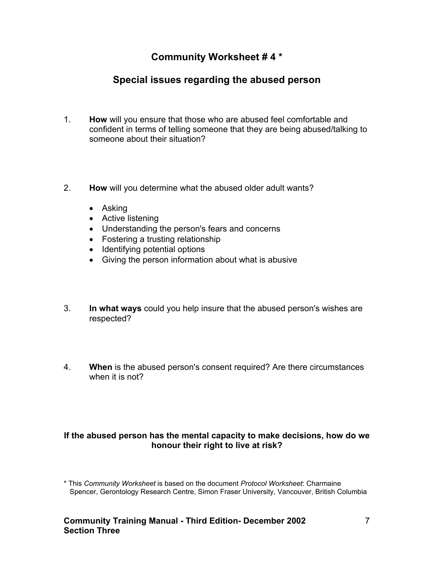### **Community Worksheet # 4 \***

# **Special issues regarding the abused person**

- 1. **How** will you ensure that those who are abused feel comfortable and confident in terms of telling someone that they are being abused/talking to someone about their situation?
- 2. **How** will you determine what the abused older adult wants?
	- Asking
	- Active listening
	- Understanding the person's fears and concerns
	- Fostering a trusting relationship
	- Identifying potential options
	- Giving the person information about what is abusive
- 3. **In what ways** could you help insure that the abused person's wishes are respected?
- 4. **When** is the abused person's consent required? Are there circumstances when it is not?

#### **If the abused person has the mental capacity to make decisions, how do we honour their right to live at risk?**

<sup>\*</sup> This *Community Worksheet* is based on the document *Protocol Worksheet*: Charmaine Spencer, Gerontology Research Centre, Simon Fraser University, Vancouver, British Columbia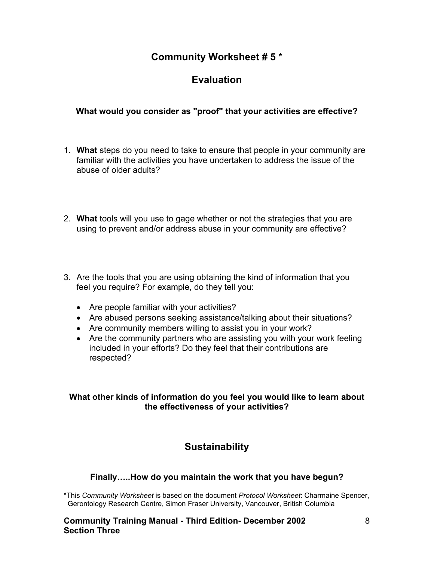### **Community Worksheet # 5 \***

# **Evaluation**

### **What would you consider as "proof" that your activities are effective?**

- 1. **What** steps do you need to take to ensure that people in your community are familiar with the activities you have undertaken to address the issue of the abuse of older adults?
- 2. **What** tools will you use to gage whether or not the strategies that you are using to prevent and/or address abuse in your community are effective?
- 3. Are the tools that you are using obtaining the kind of information that you feel you require? For example, do they tell you:
	- Are people familiar with your activities?
	- Are abused persons seeking assistance/talking about their situations?
	- Are community members willing to assist you in your work?
	- Are the community partners who are assisting you with your work feeling included in your efforts? Do they feel that their contributions are respected?

### **What other kinds of information do you feel you would like to learn about the effectiveness of your activities?**

### **Sustainability**

### **Finally…..How do you maintain the work that you have begun?**

\*This *Community Worksheet* is based on the document *Protocol Worksheet*: Charmaine Spencer, Gerontology Research Centre, Simon Fraser University, Vancouver, British Columbia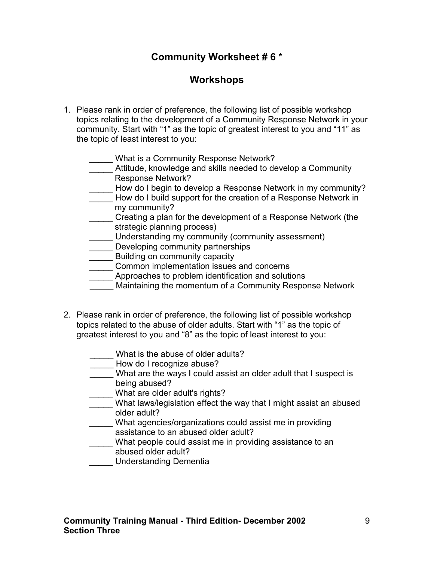### **Community Worksheet # 6 \***

### **Workshops**

- 1. Please rank in order of preference, the following list of possible workshop topics relating to the development of a Community Response Network in your community. Start with "1" as the topic of greatest interest to you and "11" as the topic of least interest to you:
	- What is a Community Response Network?
	- \_\_\_\_\_ Attitude, knowledge and skills needed to develop a Community Response Network?
	- \_\_\_\_\_ How do I begin to develop a Response Network in my community?
	- How do I build support for the creation of a Response Network in my community?
	- \_\_\_\_\_ Creating a plan for the development of a Response Network (the strategic planning process)
	- \_\_\_\_\_ Understanding my community (community assessment)
	- **\_\_\_\_\_** Developing community partnerships
	- **EXECUTE:** Building on community capacity
	- **Common implementation issues and concerns**
	- **EXECUTE:** Approaches to problem identification and solutions
	- **EXECUTE:** Maintaining the momentum of a Community Response Network
- 2. Please rank in order of preference, the following list of possible workshop topics related to the abuse of older adults. Start with "1" as the topic of greatest interest to you and "8" as the topic of least interest to you:
	- What is the abuse of older adults?
	- How do I recognize abuse?
	- \_\_\_\_\_ What are the ways I could assist an older adult that I suspect is being abused?
		- \_\_\_\_\_ What are older adult's rights?
	- What laws/legislation effect the way that I might assist an abused older adult?
	- \_\_\_\_\_ What agencies/organizations could assist me in providing assistance to an abused older adult?
	- \_\_\_\_\_ What people could assist me in providing assistance to an abused older adult?
	- \_\_\_\_\_ Understanding Dementia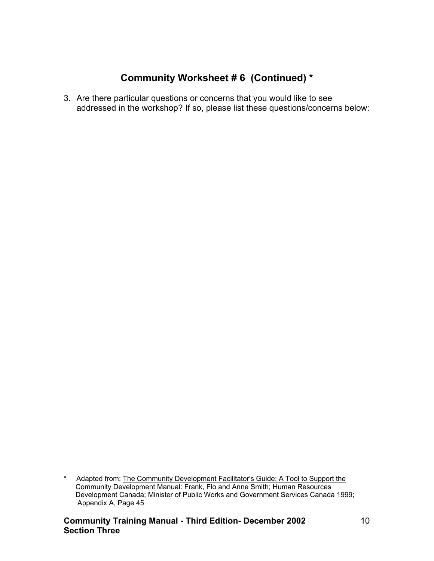# **Community Worksheet # 6 (Continued) \***

3. Are there particular questions or concerns that you would like to see addressed in the workshop? If so, please list these questions/concerns below:

\* Adapted from: The Community Development Facilitator's Guide: A Tool to Support the Community Development Manual: Frank, Flo and Anne Smith; Human Resources Development Canada; Minister of Public Works and Government Services Canada 1999; Appendix A, Page 45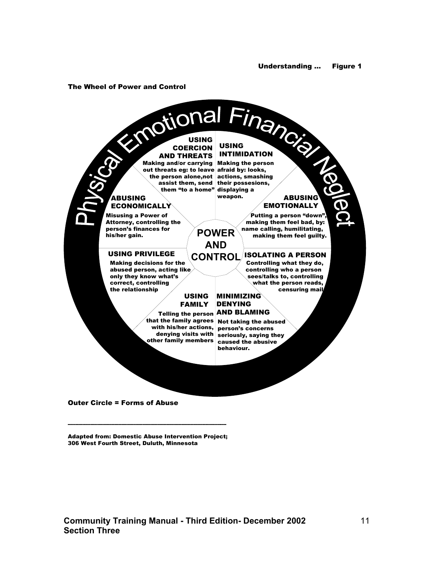#### The Wheel of Power and Control



Adapted from: Domestic Abuse Intervention Project; 306 West Fourth Street, Duluth, Minnesota

----------------------------------------------------------------------------------------------------------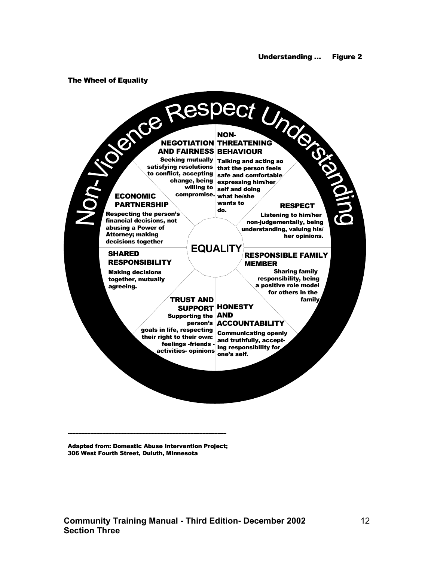#### The Wheel of Equality



Adapted from: Domestic Abuse Intervention Project; 306 West Fourth Street, Duluth, Minnesota

----------------------------------------------------------------------------------------------------------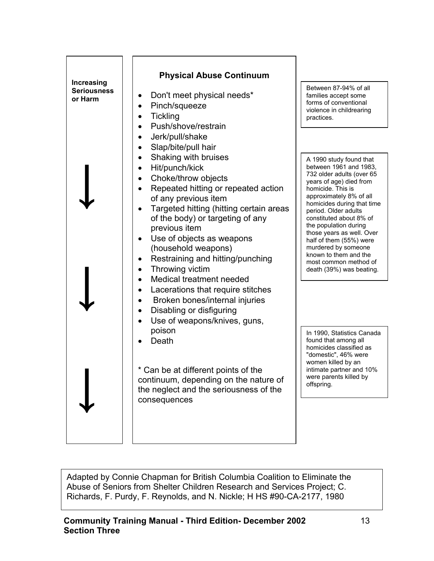

Between 87-94% of all families accept some forms of conventional violence in childrearing practices.

A 1990 study found that between 1961 and 1983, 732 older adults (over 65 years of age) died from homicide. This is approximately 8% of all homicides during that time period. Older adults constituted about 8% of the population during those years as well. Over half of them (55%) were murdered by someone known to them and the most common method of death (39%) was beating.

In 1990, Statistics Canada found that among all homicides classified as "domestic", 46% were women killed by an intimate partner and 10% were parents killed by offspring.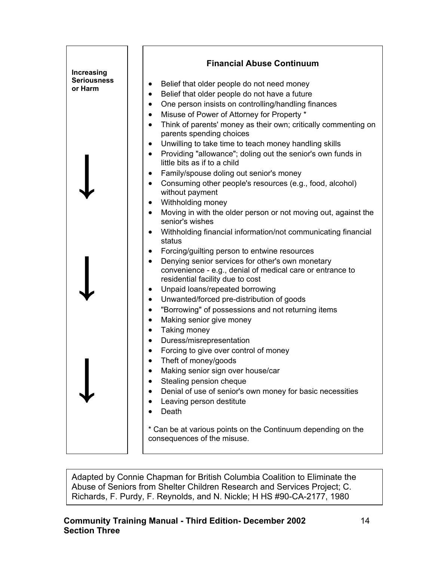| Increasing         | <b>Financial Abuse Continuum</b>                                                                         |
|--------------------|----------------------------------------------------------------------------------------------------------|
| <b>Seriousness</b> |                                                                                                          |
| or Harm            | Belief that older people do not need money<br>٠                                                          |
|                    | Belief that older people do not have a future<br>$\bullet$                                               |
|                    | One person insists on controlling/handling finances<br>$\bullet$                                         |
|                    | Misuse of Power of Attorney for Property *<br>$\bullet$                                                  |
|                    | Think of parents' money as their own; critically commenting on<br>$\bullet$<br>parents spending choices  |
|                    | Unwilling to take time to teach money handling skills<br>$\bullet$                                       |
|                    | Providing "allowance"; doling out the senior's own funds in<br>$\bullet$<br>little bits as if to a child |
|                    | Family/spouse doling out senior's money<br>٠                                                             |
|                    | Consuming other people's resources (e.g., food, alcohol)<br>$\bullet$<br>without payment                 |
|                    | Withholding money<br>$\bullet$                                                                           |
|                    | Moving in with the older person or not moving out, against the<br>$\bullet$<br>senior's wishes           |
|                    | Withholding financial information/not communicating financial<br>$\bullet$<br>status                     |
|                    | Forcing/guilting person to entwine resources<br>$\bullet$                                                |
|                    | Denying senior services for other's own monetary<br>$\bullet$                                            |
|                    | convenience - e.g., denial of medical care or entrance to<br>residential facility due to cost            |
|                    | Unpaid loans/repeated borrowing<br>٠                                                                     |
|                    | Unwanted/forced pre-distribution of goods<br>$\bullet$                                                   |
|                    | "Borrowing" of possessions and not returning items<br>$\bullet$                                          |
|                    | Making senior give money<br>$\bullet$                                                                    |
|                    | Taking money<br>$\bullet$                                                                                |
|                    | Duress/misrepresentation                                                                                 |
|                    | Forcing to give over control of money<br>$\bullet$                                                       |
|                    | Theft of money/goods                                                                                     |
|                    | Making senior sign over house/car                                                                        |
|                    | Stealing pension cheque                                                                                  |
|                    | Denial of use of senior's own money for basic necessities                                                |
|                    |                                                                                                          |
|                    | Leaving person destitute<br>Death                                                                        |
|                    |                                                                                                          |
|                    | * Can be at various points on the Continuum depending on the<br>consequences of the misuse.              |
|                    |                                                                                                          |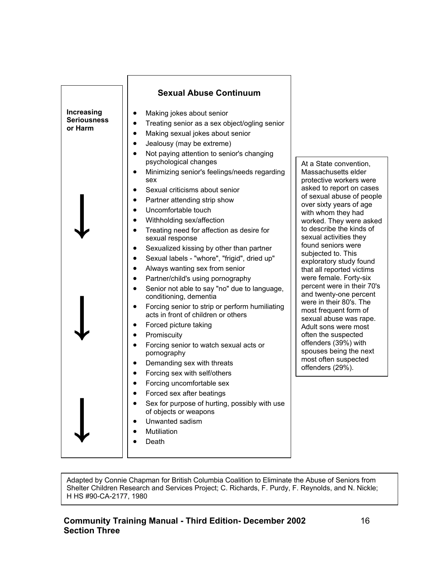convention, setts elder workers were aport on cases buse of people years of age they had ey were asked the kinds of vities they ors were to. This study found orted victims le. Forty-six ere in their 70's -one percent eir 80's. The ent form of ise was rape. were most uspected  $(39%)$  with eing the next suspected  $(29%)$ .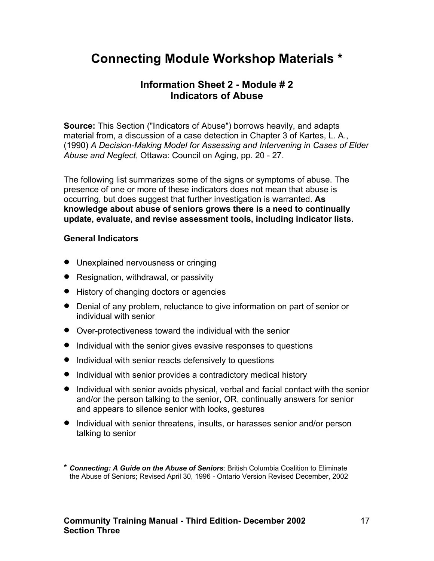## **Information Sheet 2 - Module # 2 Indicators of Abuse**

**Source:** This Section ("Indicators of Abuse") borrows heavily, and adapts material from, a discussion of a case detection in Chapter 3 of Kartes, L. A., (1990) *A Decision-Making Model for Assessing and Intervening in Cases of Elder Abuse and Neglect*, Ottawa: Council on Aging, pp. 20 - 27.

The following list summarizes some of the signs or symptoms of abuse. The presence of one or more of these indicators does not mean that abuse is occurring, but does suggest that further investigation is warranted. **As knowledge about abuse of seniors grows there is a need to continually update, evaluate, and revise assessment tools, including indicator lists.**

#### **General Indicators**

- Unexplained nervousness or cringing
- Resignation, withdrawal, or passivity
- History of changing doctors or agencies
- Denial of any problem, reluctance to give information on part of senior or individual with senior
- Over-protectiveness toward the individual with the senior
- Individual with the senior gives evasive responses to questions
- Individual with senior reacts defensively to questions
- Individual with senior provides a contradictory medical history
- Individual with senior avoids physical, verbal and facial contact with the senior and/or the person talking to the senior, OR, continually answers for senior and appears to silence senior with looks, gestures
- Individual with senior threatens, insults, or harasses senior and/or person talking to senior

\* *Connecting: A Guide on the Abuse of Seniors*: British Columbia Coalition to Eliminate the Abuse of Seniors; Revised April 30, 1996 - Ontario Version Revised December, 2002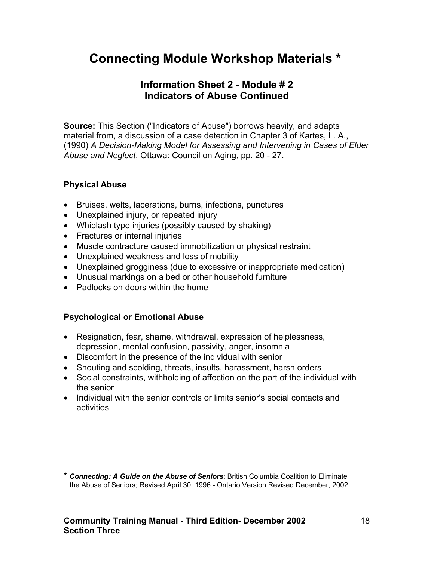## **Information Sheet 2 - Module # 2 Indicators of Abuse Continued**

**Source:** This Section ("Indicators of Abuse") borrows heavily, and adapts material from, a discussion of a case detection in Chapter 3 of Kartes, L. A., (1990) *A Decision-Making Model for Assessing and Intervening in Cases of Elder Abuse and Neglect*, Ottawa: Council on Aging, pp. 20 - 27.

### **Physical Abuse**

- Bruises, welts, lacerations, burns, infections, punctures
- Unexplained injury, or repeated injury
- Whiplash type injuries (possibly caused by shaking)
- Fractures or internal injuries
- Muscle contracture caused immobilization or physical restraint
- Unexplained weakness and loss of mobility
- Unexplained grogginess (due to excessive or inappropriate medication)
- Unusual markings on a bed or other household furniture
- Padlocks on doors within the home

### **Psychological or Emotional Abuse**

- Resignation, fear, shame, withdrawal, expression of helplessness, depression, mental confusion, passivity, anger, insomnia
- Discomfort in the presence of the individual with senior
- Shouting and scolding, threats, insults, harassment, harsh orders
- Social constraints, withholding of affection on the part of the individual with the senior
- Individual with the senior controls or limits senior's social contacts and activities

<sup>\*</sup> *Connecting: A Guide on the Abuse of Seniors*: British Columbia Coalition to Eliminate the Abuse of Seniors; Revised April 30, 1996 - Ontario Version Revised December, 2002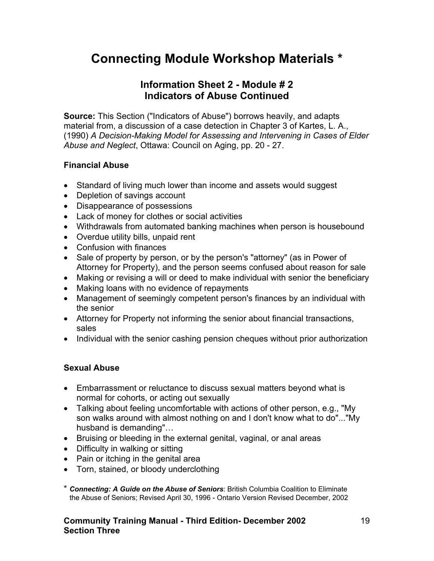### **Information Sheet 2 - Module # 2 Indicators of Abuse Continued**

**Source:** This Section ("Indicators of Abuse") borrows heavily, and adapts material from, a discussion of a case detection in Chapter 3 of Kartes, L. A., (1990) *A Decision-Making Model for Assessing and Intervening in Cases of Elder Abuse and Neglect*, Ottawa: Council on Aging, pp. 20 - 27.

### **Financial Abuse**

- Standard of living much lower than income and assets would suggest
- Depletion of savings account
- Disappearance of possessions
- Lack of money for clothes or social activities
- Withdrawals from automated banking machines when person is housebound
- Overdue utility bills, unpaid rent
- Confusion with finances
- Sale of property by person, or by the person's "attorney" (as in Power of Attorney for Property), and the person seems confused about reason for sale
- Making or revising a will or deed to make individual with senior the beneficiary
- Making loans with no evidence of repayments
- Management of seemingly competent person's finances by an individual with the senior
- Attorney for Property not informing the senior about financial transactions, sales
- Individual with the senior cashing pension cheques without prior authorization

### **Sexual Abuse**

- Embarrassment or reluctance to discuss sexual matters beyond what is normal for cohorts, or acting out sexually
- Talking about feeling uncomfortable with actions of other person, e.g., "My son walks around with almost nothing on and I don't know what to do"..."My husband is demanding"…
- Bruising or bleeding in the external genital, vaginal, or anal areas
- Difficulty in walking or sitting
- Pain or itching in the genital area
- Torn, stained, or bloody underclothing
- \* *Connecting: A Guide on the Abuse of Seniors*: British Columbia Coalition to Eliminate the Abuse of Seniors; Revised April 30, 1996 - Ontario Version Revised December, 2002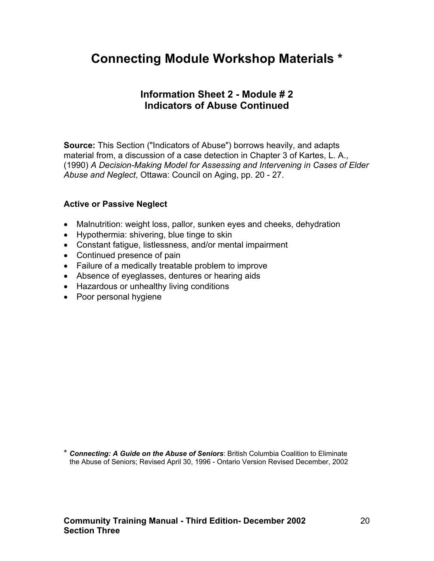### **Information Sheet 2 - Module # 2 Indicators of Abuse Continued**

**Source:** This Section ("Indicators of Abuse") borrows heavily, and adapts material from, a discussion of a case detection in Chapter 3 of Kartes, L. A., (1990) *A Decision-Making Model for Assessing and Intervening in Cases of Elder Abuse and Neglect*, Ottawa: Council on Aging, pp. 20 - 27.

### **Active or Passive Neglect**

- Malnutrition: weight loss, pallor, sunken eyes and cheeks, dehydration
- Hypothermia: shivering, blue tinge to skin
- Constant fatigue, listlessness, and/or mental impairment
- Continued presence of pain
- Failure of a medically treatable problem to improve
- Absence of eyeglasses, dentures or hearing aids
- Hazardous or unhealthy living conditions
- Poor personal hygiene

\* *Connecting: A Guide on the Abuse of Seniors*: British Columbia Coalition to Eliminate the Abuse of Seniors; Revised April 30, 1996 - Ontario Version Revised December, 2002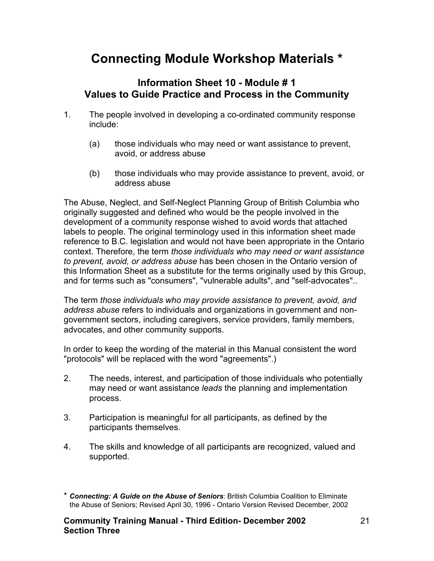### **Information Sheet 10 - Module # 1 Values to Guide Practice and Process in the Community**

- 1. The people involved in developing a co-ordinated community response include:
	- (a) those individuals who may need or want assistance to prevent, avoid, or address abuse
	- (b) those individuals who may provide assistance to prevent, avoid, or address abuse

The Abuse, Neglect, and Self-Neglect Planning Group of British Columbia who originally suggested and defined who would be the people involved in the development of a community response wished to avoid words that attached labels to people. The original terminology used in this information sheet made reference to B.C. legislation and would not have been appropriate in the Ontario context. Therefore, the term *those individuals who may need or want assistance to prevent, avoid, or address abuse* has been chosen in the Ontario version of this Information Sheet as a substitute for the terms originally used by this Group, and for terms such as "consumers", "vulnerable adults", and "self-advocates"..

The term *those individuals who may provide assistance to prevent, avoid, and address abuse* refers to individuals and organizations in government and nongovernment sectors, including caregivers, service providers, family members, advocates, and other community supports.

In order to keep the wording of the material in this Manual consistent the word "protocols" will be replaced with the word "agreements".)

- 2. The needs, interest, and participation of those individuals who potentially may need or want assistance *leads* the planning and implementation process.
- 3. Participation is meaningful for all participants, as defined by the participants themselves.
- 4. The skills and knowledge of all participants are recognized, valued and supported.

<sup>\*</sup> *Connecting: A Guide on the Abuse of Seniors*: British Columbia Coalition to Eliminate the Abuse of Seniors; Revised April 30, 1996 - Ontario Version Revised December, 2002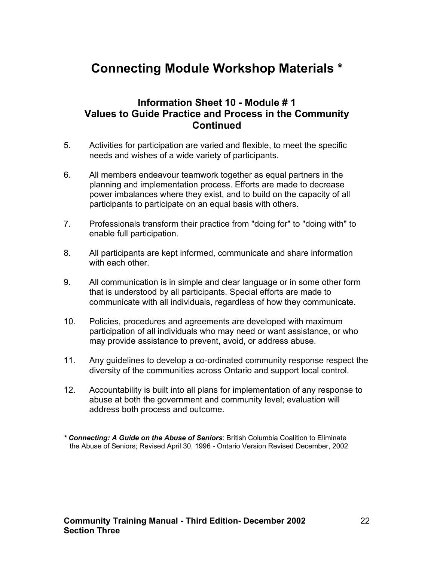### **Information Sheet 10 - Module # 1 Values to Guide Practice and Process in the Community Continued**

- 5. Activities for participation are varied and flexible, to meet the specific needs and wishes of a wide variety of participants.
- 6. All members endeavour teamwork together as equal partners in the planning and implementation process. Efforts are made to decrease power imbalances where they exist, and to build on the capacity of all participants to participate on an equal basis with others.
- 7. Professionals transform their practice from "doing for" to "doing with" to enable full participation.
- 8. All participants are kept informed, communicate and share information with each other.
- 9. All communication is in simple and clear language or in some other form that is understood by all participants. Special efforts are made to communicate with all individuals, regardless of how they communicate.
- 10. Policies, procedures and agreements are developed with maximum participation of all individuals who may need or want assistance, or who may provide assistance to prevent, avoid, or address abuse.
- 11. Any guidelines to develop a co-ordinated community response respect the diversity of the communities across Ontario and support local control.
- 12. Accountability is built into all plans for implementation of any response to abuse at both the government and community level; evaluation will address both process and outcome.

*<sup>\*</sup> Connecting: A Guide on the Abuse of Seniors*: British Columbia Coalition to Eliminate the Abuse of Seniors; Revised April 30, 1996 - Ontario Version Revised December, 2002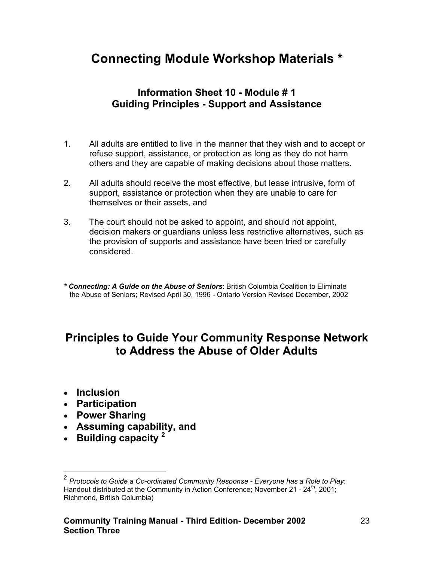# **Information Sheet 10 - Module # 1 Guiding Principles - Support and Assistance**

- 1. All adults are entitled to live in the manner that they wish and to accept or refuse support, assistance, or protection as long as they do not harm others and they are capable of making decisions about those matters.
- 2. All adults should receive the most effective, but lease intrusive, form of support, assistance or protection when they are unable to care for themselves or their assets, and
- 3. The court should not be asked to appoint, and should not appoint, decision makers or guardians unless less restrictive alternatives, such as the provision of supports and assistance have been tried or carefully considered.

*\* Connecting: A Guide on the Abuse of Seniors*: British Columbia Coalition to Eliminate the Abuse of Seniors; Revised April 30, 1996 - Ontario Version Revised December, 2002

# **Principles to Guide Your Community Response Network to Address the Abuse of Older Adults**

• **Inclusion** 

 $\overline{a}$ 

- **Participation**
- **Power Sharing**
- **Assuming capability, and**
- **Building capacity [2](#page-22-0)**

<span id="page-22-0"></span><sup>2</sup> *Protocols to Guide a Co-ordinated Community Response - Everyone has a Role to Play*: Handout distributed at the Community in Action Conference; November 21 -  $24<sup>th</sup>$ , 2001; Richmond, British Columbia)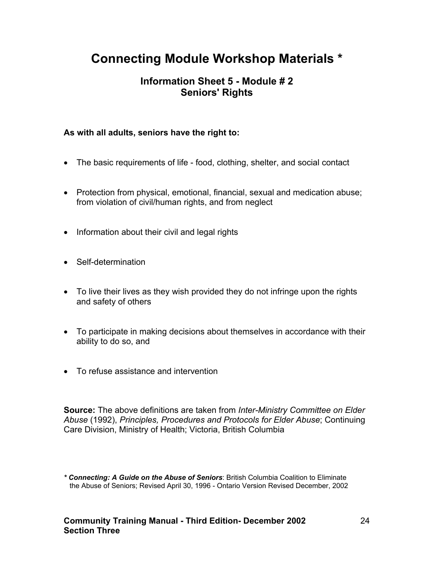# **Information Sheet 5 - Module # 2 Seniors' Rights**

### **As with all adults, seniors have the right to:**

- The basic requirements of life food, clothing, shelter, and social contact
- Protection from physical, emotional, financial, sexual and medication abuse; from violation of civil/human rights, and from neglect
- Information about their civil and legal rights
- Self-determination
- To live their lives as they wish provided they do not infringe upon the rights and safety of others
- To participate in making decisions about themselves in accordance with their ability to do so, and
- To refuse assistance and intervention

**Source:** The above definitions are taken from *Inter-Ministry Committee on Elder Abuse* (1992), *Principles, Procedures and Protocols for Elder Abuse*; Continuing Care Division, Ministry of Health; Victoria, British Columbia

*<sup>\*</sup> Connecting: A Guide on the Abuse of Seniors*: British Columbia Coalition to Eliminate the Abuse of Seniors; Revised April 30, 1996 - Ontario Version Revised December, 2002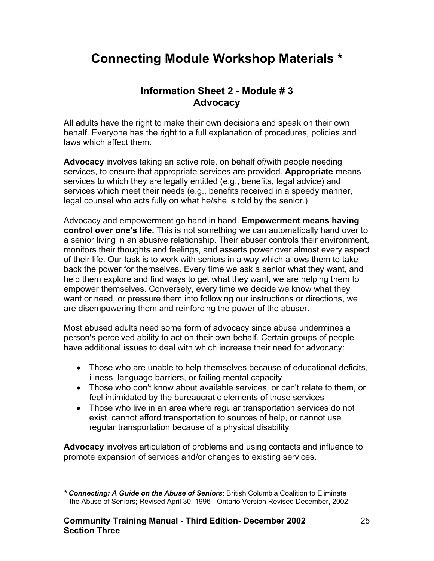### **Information Sheet 2 - Module # 3 Advocacy**

All adults have the right to make their own decisions and speak on their own behalf. Everyone has the right to a full explanation of procedures, policies and laws which affect them.

**Advocacy** involves taking an active role, on behalf of/with people needing services, to ensure that appropriate services are provided. **Appropriate** means services to which they are legally entitled (e.g., benefits, legal advice) and services which meet their needs (e.g., benefits received in a speedy manner, legal counsel who acts fully on what he/she is told by the senior.)

Advocacy and empowerment go hand in hand. **Empowerment means having control over one's life.** This is not something we can automatically hand over to a senior living in an abusive relationship. Their abuser controls their environment, monitors their thoughts and feelings, and asserts power over almost every aspect of their life. Our task is to work with seniors in a way which allows them to take back the power for themselves. Every time we ask a senior what they want, and help them explore and find ways to get what they want, we are helping them to empower themselves. Conversely, every time we decide we know what they want or need, or pressure them into following our instructions or directions, we are disempowering them and reinforcing the power of the abuser.

Most abused adults need some form of advocacy since abuse undermines a person's perceived ability to act on their own behalf. Certain groups of people have additional issues to deal with which increase their need for advocacy:

- Those who are unable to help themselves because of educational deficits, illness, language barriers, or failing mental capacity
- Those who don't know about available services, or can't relate to them, or feel intimidated by the bureaucratic elements of those services
- Those who live in an area where regular transportation services do not exist, cannot afford transportation to sources of help, or cannot use regular transportation because of a physical disability

**Advocacy** involves articulation of problems and using contacts and influence to promote expansion of services and/or changes to existing services.

*<sup>\*</sup> Connecting: A Guide on the Abuse of Seniors*: British Columbia Coalition to Eliminate the Abuse of Seniors; Revised April 30, 1996 - Ontario Version Revised December, 2002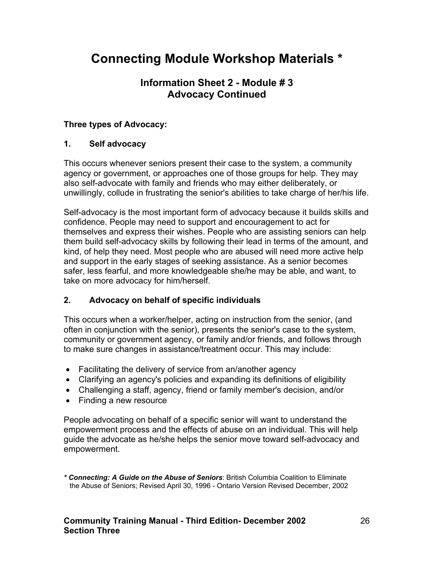# **Information Sheet 2 - Module # 3 Advocacy Continued**

### **Three types of Advocacy:**

### **1. Self advocacy**

This occurs whenever seniors present their case to the system, a community agency or government, or approaches one of those groups for help. They may also self-advocate with family and friends who may either deliberately, or unwillingly, collude in frustrating the senior's abilities to take charge of her/his life.

Self-advocacy is the most important form of advocacy because it builds skills and confidence. People may need to support and encouragement to act for themselves and express their wishes. People who are assisting seniors can help them build self-advocacy skills by following their lead in terms of the amount, and kind, of help they need. Most people who are abused will need more active help and support in the early stages of seeking assistance. As a senior becomes safer, less fearful, and more knowledgeable she/he may be able, and want, to take on more advocacy for him/herself.

### **2. Advocacy on behalf of specific individuals**

This occurs when a worker/helper, acting on instruction from the senior, (and often in conjunction with the senior), presents the senior's case to the system, community or government agency, or family and/or friends, and follows through to make sure changes in assistance/treatment occur. This may include:

- Facilitating the delivery of service from an/another agency
- Clarifying an agency's policies and expanding its definitions of eligibility
- Challenging a staff, agency, friend or family member's decision, and/or
- Finding a new resource

People advocating on behalf of a specific senior will want to understand the empowerment process and the effects of abuse on an individual. This will help guide the advocate as he/she helps the senior move toward self-advocacy and empowerment.

*\* Connecting: A Guide on the Abuse of Seniors*: British Columbia Coalition to Eliminate the Abuse of Seniors; Revised April 30, 1996 - Ontario Version Revised December, 2002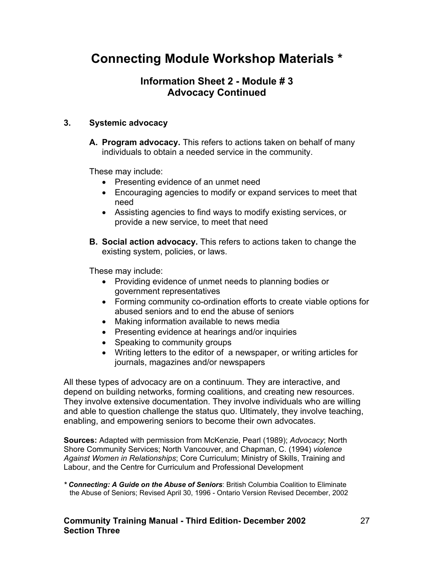# **Information Sheet 2 - Module # 3 Advocacy Continued**

### **3. Systemic advocacy**

**A. Program advocacy.** This refers to actions taken on behalf of many individuals to obtain a needed service in the community.

These may include:

- Presenting evidence of an unmet need
- Encouraging agencies to modify or expand services to meet that need
- Assisting agencies to find ways to modify existing services, or provide a new service, to meet that need
- **B. Social action advocacy.** This refers to actions taken to change the existing system, policies, or laws.

These may include:

- Providing evidence of unmet needs to planning bodies or government representatives
- Forming community co-ordination efforts to create viable options for abused seniors and to end the abuse of seniors
- Making information available to news media
- Presenting evidence at hearings and/or inquiries
- Speaking to community groups
- Writing letters to the editor of a newspaper, or writing articles for journals, magazines and/or newspapers

All these types of advocacy are on a continuum. They are interactive, and depend on building networks, forming coalitions, and creating new resources. They involve extensive documentation. They involve individuals who are willing and able to question challenge the status quo. Ultimately, they involve teaching, enabling, and empowering seniors to become their own advocates.

**Sources:** Adapted with permission from McKenzie, Pearl (1989); *Advocacy*; North Shore Community Services; North Vancouver, and Chapman, C. (1994) *violence Against Women in Relationships*; Core Curriculum; Ministry of Skills, Training and Labour, and the Centre for Curriculum and Professional Development

*\* Connecting: A Guide on the Abuse of Seniors*: British Columbia Coalition to Eliminate the Abuse of Seniors; Revised April 30, 1996 - Ontario Version Revised December, 2002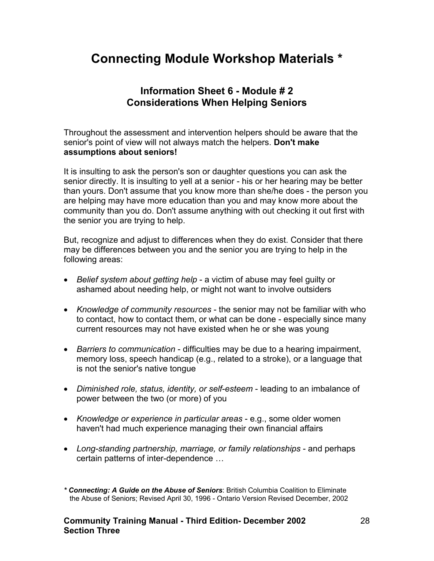### **Information Sheet 6 - Module # 2 Considerations When Helping Seniors**

Throughout the assessment and intervention helpers should be aware that the senior's point of view will not always match the helpers. **Don't make assumptions about seniors!**

It is insulting to ask the person's son or daughter questions you can ask the senior directly. It is insulting to yell at a senior - his or her hearing may be better than yours. Don't assume that you know more than she/he does - the person you are helping may have more education than you and may know more about the community than you do. Don't assume anything with out checking it out first with the senior you are trying to help.

But, recognize and adjust to differences when they do exist. Consider that there may be differences between you and the senior you are trying to help in the following areas:

- *Belief system about getting help* a victim of abuse may feel guilty or ashamed about needing help, or might not want to involve outsiders
- *Knowledge of community resources* the senior may not be familiar with who to contact, how to contact them, or what can be done - especially since many current resources may not have existed when he or she was young
- *Barriers to communication* difficulties may be due to a hearing impairment, memory loss, speech handicap (e.g., related to a stroke), or a language that is not the senior's native tongue
- *Diminished role, status, identity, or self-esteem* leading to an imbalance of power between the two (or more) of you
- *Knowledge or experience in particular areas* e.g., some older women haven't had much experience managing their own financial affairs
- *Long-standing partnership, marriage, or family relationships* and perhaps certain patterns of inter-dependence …

*<sup>\*</sup> Connecting: A Guide on the Abuse of Seniors*: British Columbia Coalition to Eliminate the Abuse of Seniors; Revised April 30, 1996 - Ontario Version Revised December, 2002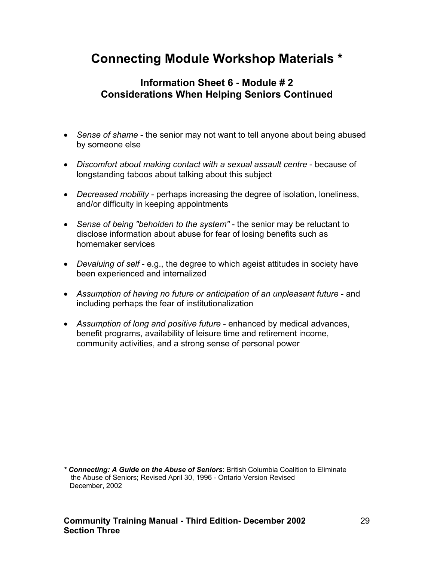# **Information Sheet 6 - Module # 2 Considerations When Helping Seniors Continued**

- *Sense of shame* the senior may not want to tell anyone about being abused by someone else
- *Discomfort about making contact with a sexual assault centre* because of longstanding taboos about talking about this subject
- *Decreased mobility* perhaps increasing the degree of isolation, loneliness, and/or difficulty in keeping appointments
- *Sense of being "beholden to the system"* the senior may be reluctant to disclose information about abuse for fear of losing benefits such as homemaker services
- *Devaluing of self* e.g., the degree to which ageist attitudes in society have been experienced and internalized
- *Assumption of having no future or anticipation of an unpleasant future* and including perhaps the fear of institutionalization
- *Assumption of long and positive future* enhanced by medical advances, benefit programs, availability of leisure time and retirement income, community activities, and a strong sense of personal power

*<sup>\*</sup> Connecting: A Guide on the Abuse of Seniors*: British Columbia Coalition to Eliminate the Abuse of Seniors; Revised April 30, 1996 - Ontario Version Revised December, 2002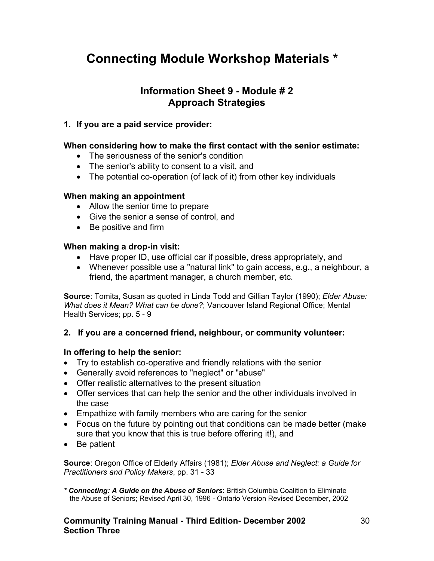### **Information Sheet 9 - Module # 2 Approach Strategies**

#### **1. If you are a paid service provider:**

#### **When considering how to make the first contact with the senior estimate:**

- The seriousness of the senior's condition
- The senior's ability to consent to a visit, and
- The potential co-operation (of lack of it) from other key individuals

#### **When making an appointment**

- Allow the senior time to prepare
- Give the senior a sense of control, and
- Be positive and firm

#### **When making a drop-in visit:**

- Have proper ID, use official car if possible, dress appropriately, and
- Whenever possible use a "natural link" to gain access, e.g., a neighbour, a friend, the apartment manager, a church member, etc.

**Source**: Tomita, Susan as quoted in Linda Todd and Gillian Taylor (1990); *Elder Abuse: What does it Mean? What can be done?*; Vancouver Island Regional Office; Mental Health Services; pp. 5 - 9

#### **2. If you are a concerned friend, neighbour, or community volunteer:**

#### **In offering to help the senior:**

- Try to establish co-operative and friendly relations with the senior
- Generally avoid references to "neglect" or "abuse"
- Offer realistic alternatives to the present situation
- Offer services that can help the senior and the other individuals involved in the case
- Empathize with family members who are caring for the senior
- Focus on the future by pointing out that conditions can be made better (make sure that you know that this is true before offering it!), and
- Be patient

**Source**: Oregon Office of Elderly Affairs (1981); *Elder Abuse and Neglect: a Guide for Practitioners and Policy Makers*, pp. 31 - 33

*\* Connecting: A Guide on the Abuse of Seniors*: British Columbia Coalition to Eliminate the Abuse of Seniors; Revised April 30, 1996 - Ontario Version Revised December, 2002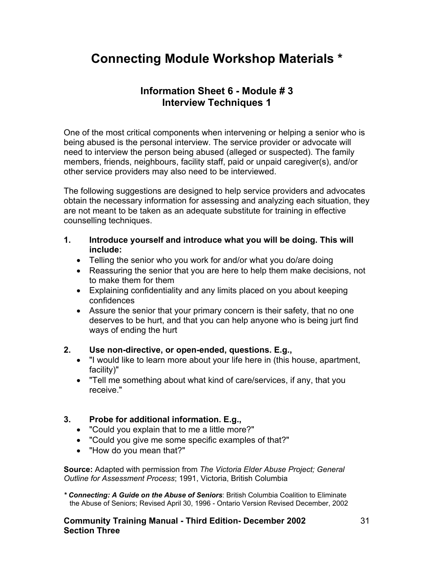### **Information Sheet 6 - Module # 3 Interview Techniques 1**

One of the most critical components when intervening or helping a senior who is being abused is the personal interview. The service provider or advocate will need to interview the person being abused (alleged or suspected). The family members, friends, neighbours, facility staff, paid or unpaid caregiver(s), and/or other service providers may also need to be interviewed.

The following suggestions are designed to help service providers and advocates obtain the necessary information for assessing and analyzing each situation, they are not meant to be taken as an adequate substitute for training in effective counselling techniques.

- **1. Introduce yourself and introduce what you will be doing. This will include:** 
	- Telling the senior who you work for and/or what you do/are doing
	- Reassuring the senior that you are here to help them make decisions, not to make them for them
	- Explaining confidentiality and any limits placed on you about keeping confidences
	- Assure the senior that your primary concern is their safety, that no one deserves to be hurt, and that you can help anyone who is being jurt find ways of ending the hurt

### **2. Use non-directive, or open-ended, questions. E.g.,**

- "I would like to learn more about your life here in (this house, apartment, facility)"
- "Tell me something about what kind of care/services, if any, that you receive."

### **3. Probe for additional information. E.g.,**

- "Could you explain that to me a little more?"
- "Could you give me some specific examples of that?"
- "How do you mean that?"

**Source:** Adapted with permission from *The Victoria Elder Abuse Project; General Outline for Assessment Process*; 1991, Victoria, British Columbia

*\* Connecting: A Guide on the Abuse of Seniors*: British Columbia Coalition to Eliminate the Abuse of Seniors; Revised April 30, 1996 - Ontario Version Revised December, 2002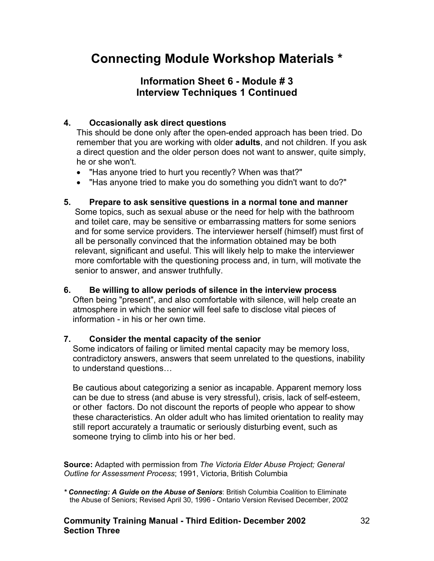# **Information Sheet 6 - Module # 3 Interview Techniques 1 Continued**

### **4. Occasionally ask direct questions**

This should be done only after the open-ended approach has been tried. Do remember that you are working with older **adults**, and not children. If you ask a direct question and the older person does not want to answer, quite simply, he or she won't.

- "Has anyone tried to hurt you recently? When was that?"
- "Has anyone tried to make you do something you didn't want to do?"

#### **5. Prepare to ask sensitive questions in a normal tone and manner**

Some topics, such as sexual abuse or the need for help with the bathroom and toilet care, may be sensitive or embarrassing matters for some seniors and for some service providers. The interviewer herself (himself) must first of all be personally convinced that the information obtained may be both relevant, significant and useful. This will likely help to make the interviewer more comfortable with the questioning process and, in turn, will motivate the senior to answer, and answer truthfully.

#### **6. Be willing to allow periods of silence in the interview process** Often being "present", and also comfortable with silence, will help create an atmosphere in which the senior will feel safe to disclose vital pieces of information - in his or her own time.

#### **7. Consider the mental capacity of the senior**

Some indicators of failing or limited mental capacity may be memory loss, contradictory answers, answers that seem unrelated to the questions, inability to understand questions…

Be cautious about categorizing a senior as incapable. Apparent memory loss can be due to stress (and abuse is very stressful), crisis, lack of self-esteem, or other factors. Do not discount the reports of people who appear to show these characteristics. An older adult who has limited orientation to reality may still report accurately a traumatic or seriously disturbing event, such as someone trying to climb into his or her bed.

**Source:** Adapted with permission from *The Victoria Elder Abuse Project; General Outline for Assessment Process*; 1991, Victoria, British Columbia

*\* Connecting: A Guide on the Abuse of Seniors*: British Columbia Coalition to Eliminate the Abuse of Seniors; Revised April 30, 1996 - Ontario Version Revised December, 2002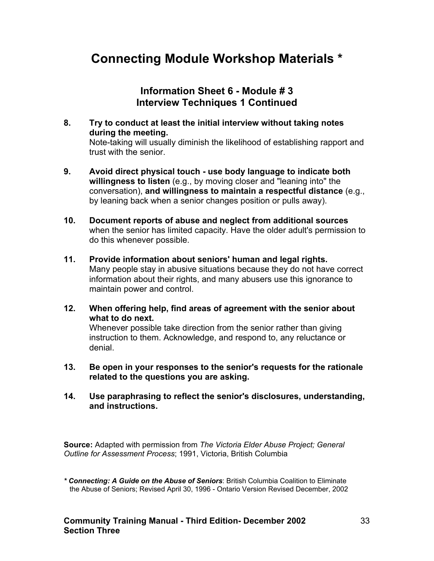### **Information Sheet 6 - Module # 3 Interview Techniques 1 Continued**

- **8. Try to conduct at least the initial interview without taking notes during the meeting.** Note-taking will usually diminish the likelihood of establishing rapport and trust with the senior.
- **9. Avoid direct physical touch use body language to indicate both willingness to listen** (e.g., by moving closer and "leaning into" the conversation), **and willingness to maintain a respectful distance** (e.g., by leaning back when a senior changes position or pulls away).
- **10. Document reports of abuse and neglect from additional sources** when the senior has limited capacity. Have the older adult's permission to do this whenever possible.
- **11. Provide information about seniors' human and legal rights.** Many people stay in abusive situations because they do not have correct information about their rights, and many abusers use this ignorance to maintain power and control.
- **12. When offering help, find areas of agreement with the senior about what to do next.**

Whenever possible take direction from the senior rather than giving instruction to them. Acknowledge, and respond to, any reluctance or denial.

- **13. Be open in your responses to the senior's requests for the rationale related to the questions you are asking.**
- **14. Use paraphrasing to reflect the senior's disclosures, understanding, and instructions.**

**Source:** Adapted with permission from *The Victoria Elder Abuse Project; General Outline for Assessment Process*; 1991, Victoria, British Columbia

*<sup>\*</sup> Connecting: A Guide on the Abuse of Seniors*: British Columbia Coalition to Eliminate the Abuse of Seniors; Revised April 30, 1996 - Ontario Version Revised December, 2002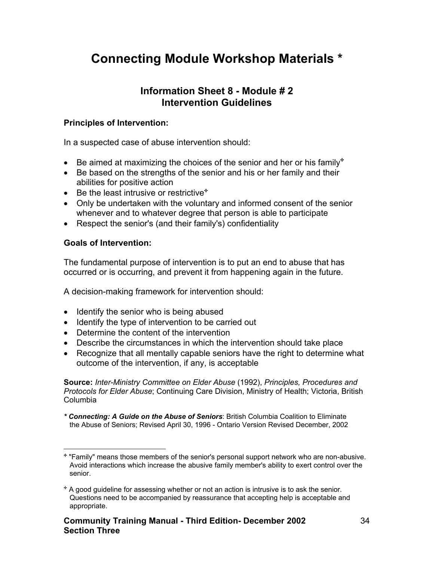### **Information Sheet 8 - Module # 2 Intervention Guidelines**

### **Principles of Intervention:**

In a suspected case of abuse intervention should:

- Be aimed at maximizing the choices of the senior and her or his family\*
- Be based on the strengths of the senior and his or her family and their abilities for positive action
- Be the least intrusive or restrictive\*
- Only be undertaken with the voluntary and informed consent of the senior whenever and to whatever degree that person is able to participate
- Respect the senior's (and their family's) confidentiality

### **Goals of Intervention:**

The fundamental purpose of intervention is to put an end to abuse that has occurred or is occurring, and prevent it from happening again in the future.

A decision-making framework for intervention should:

- Identify the senior who is being abused
- Identify the type of intervention to be carried out
- Determine the content of the intervention
- Describe the circumstances in which the intervention should take place
- Recognize that all mentally capable seniors have the right to determine what outcome of the intervention, if any, is acceptable

**Source:** *Inter-Ministry Committee on Elder Abuse* (1992), *Principles, Procedures and Protocols for Elder Abuse*; Continuing Care Division, Ministry of Health; Victoria, British Columbia

*\* Connecting: A Guide on the Abuse of Seniors*: British Columbia Coalition to Eliminate the Abuse of Seniors; Revised April 30, 1996 - Ontario Version Revised December, 2002

<span id="page-33-0"></span> $\overline{a}$  "Family" means those members of the senior's personal support network who are non-abusive. Avoid interactions which increase the abusive family member's ability to exert control over the senior.

<span id="page-33-1"></span>A good guideline for assessing whether or not an action is intrusive is to ask the senior. Questions need to be accompanied by reassurance that accepting help is acceptable and appropriate.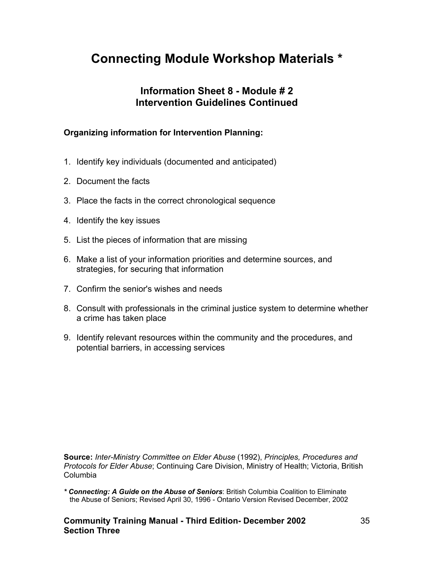## **Information Sheet 8 - Module # 2 Intervention Guidelines Continued**

### **Organizing information for Intervention Planning:**

- 1. Identify key individuals (documented and anticipated)
- 2. Document the facts
- 3. Place the facts in the correct chronological sequence
- 4. Identify the key issues
- 5. List the pieces of information that are missing
- 6. Make a list of your information priorities and determine sources, and strategies, for securing that information
- 7. Confirm the senior's wishes and needs
- 8. Consult with professionals in the criminal justice system to determine whether a crime has taken place
- 9. Identify relevant resources within the community and the procedures, and potential barriers, in accessing services

**Source:** *Inter-Ministry Committee on Elder Abuse* (1992), *Principles, Procedures and Protocols for Elder Abuse*; Continuing Care Division, Ministry of Health; Victoria, British Columbia

*\* Connecting: A Guide on the Abuse of Seniors*: British Columbia Coalition to Eliminate the Abuse of Seniors; Revised April 30, 1996 - Ontario Version Revised December, 2002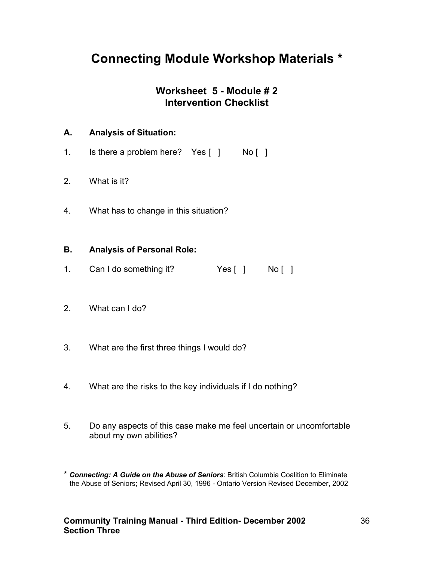# **Worksheet 5 - Module # 2 Intervention Checklist**

### **A. Analysis of Situation:**

- 1. Is there a problem here? Yes [ ] No [ ]
- 2. What is it?
- 4. What has to change in this situation?

### **B. Analysis of Personal Role:**

- 1. Can I do something it? Yes [ ] No [ ]
- 2. What can I do?
- 3. What are the first three things I would do?
- 4. What are the risks to the key individuals if I do nothing?
- 5. Do any aspects of this case make me feel uncertain or uncomfortable about my own abilities?
- \* *Connecting: A Guide on the Abuse of Seniors*: British Columbia Coalition to Eliminate the Abuse of Seniors; Revised April 30, 1996 - Ontario Version Revised December, 2002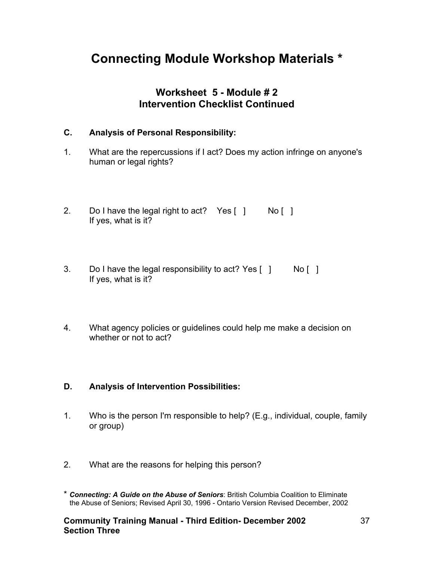## **Worksheet 5 - Module # 2 Intervention Checklist Continued**

### **C. Analysis of Personal Responsibility:**

- 1. What are the repercussions if I act? Does my action infringe on anyone's human or legal rights?
- 2. Do I have the legal right to act? Yes  $\begin{bmatrix} 1 \\ 1 \end{bmatrix}$  No  $\begin{bmatrix} 1 \\ 1 \end{bmatrix}$ If yes, what is it?
- 3. Do I have the legal responsibility to act? Yes [ ] No [ ] If yes, what is it?
- 4. What agency policies or guidelines could help me make a decision on whether or not to act?

### **D. Analysis of Intervention Possibilities:**

- 1. Who is the person I'm responsible to help? (E.g., individual, couple, family or group)
- 2. What are the reasons for helping this person?
- \* *Connecting: A Guide on the Abuse of Seniors*: British Columbia Coalition to Eliminate the Abuse of Seniors; Revised April 30, 1996 - Ontario Version Revised December, 2002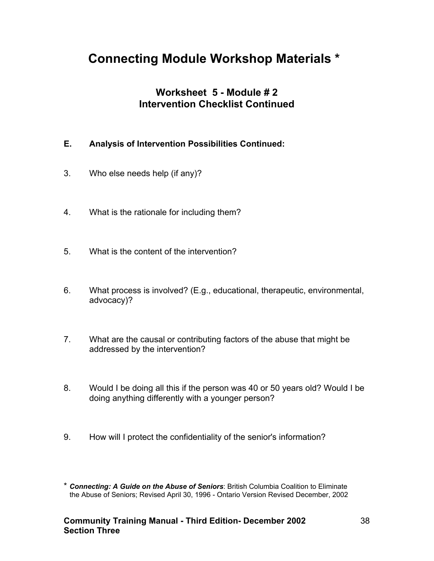## **Worksheet 5 - Module # 2 Intervention Checklist Continued**

### **E. Analysis of Intervention Possibilities Continued:**

- 3. Who else needs help (if any)?
- 4. What is the rationale for including them?
- 5. What is the content of the intervention?
- 6. What process is involved? (E.g., educational, therapeutic, environmental, advocacy)?
- 7. What are the causal or contributing factors of the abuse that might be addressed by the intervention?
- 8. Would I be doing all this if the person was 40 or 50 years old? Would I be doing anything differently with a younger person?
- 9. How will I protect the confidentiality of the senior's information?

<sup>\*</sup> *Connecting: A Guide on the Abuse of Seniors*: British Columbia Coalition to Eliminate the Abuse of Seniors; Revised April 30, 1996 - Ontario Version Revised December, 2002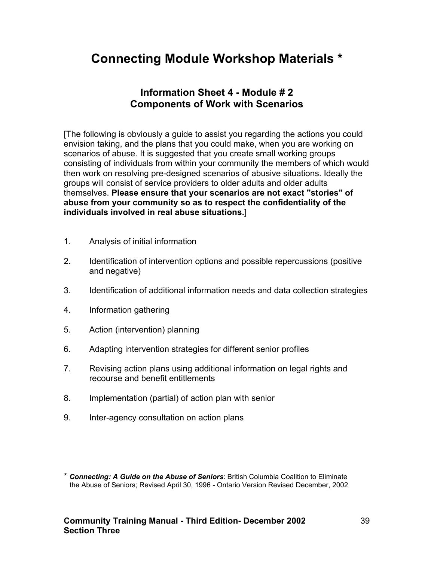### **Information Sheet 4 - Module # 2 Components of Work with Scenarios**

[The following is obviously a guide to assist you regarding the actions you could envision taking, and the plans that you could make, when you are working on scenarios of abuse. It is suggested that you create small working groups consisting of individuals from within your community the members of which would then work on resolving pre-designed scenarios of abusive situations. Ideally the groups will consist of service providers to older adults and older adults themselves. **Please ensure that your scenarios are not exact "stories" of abuse from your community so as to respect the confidentiality of the individuals involved in real abuse situations.**]

- 1. Analysis of initial information
- 2. Identification of intervention options and possible repercussions (positive and negative)
- 3. Identification of additional information needs and data collection strategies
- 4. Information gathering
- 5. Action (intervention) planning
- 6. Adapting intervention strategies for different senior profiles
- 7. Revising action plans using additional information on legal rights and recourse and benefit entitlements
- 8. Implementation (partial) of action plan with senior
- 9. Inter-agency consultation on action plans

<sup>\*</sup> *Connecting: A Guide on the Abuse of Seniors*: British Columbia Coalition to Eliminate the Abuse of Seniors; Revised April 30, 1996 - Ontario Version Revised December, 2002